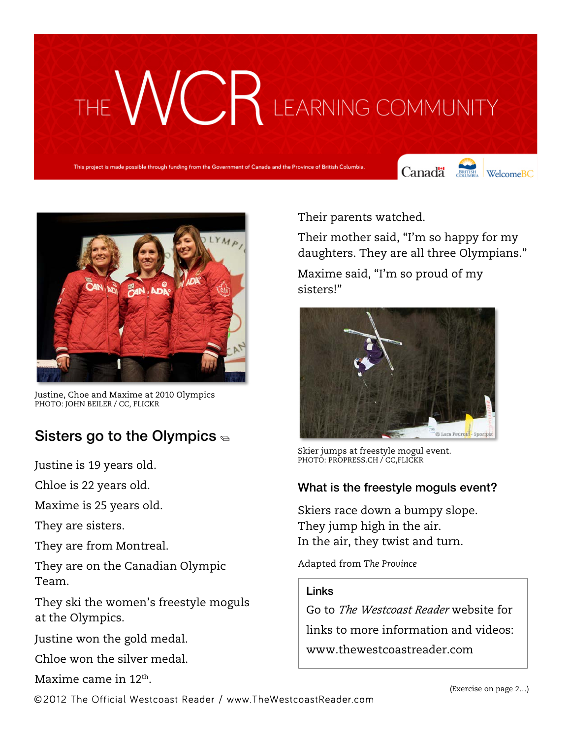# VC R LEARNING COMMUNITY

This project is made possible through funding from the Government of Canada and the Province of British Columbia.

Canada SHITSH WelcomeBC





Justine, Choe and Maxime at 2010 Olympics PHOTO: JOHN BEILER / CC, FLICKR

### Sisters go to the Olympics  $\epsilon$

Justine is 19 years old.

Chloe is 22 years old.

Maxime is 25 years old.

They are sisters.

They are from Montreal.

They are on the Canadian Olympic Team.

They ski the women's freestyle moguls at the Olympics.

Justine won the gold medal.

Chloe won the silver medal.

Maxime came in 12th.

Their parents watched.

Their mother said, "I'm so happy for my daughters. They are all three Olympians."

Maxime said, "I'm so proud of my sisters!"



Skier jumps at freestyle mogul event. PHOTO: PROPRESS.CH / CC,FLICKR

#### What is the freestyle moguls event?

Skiers race down a bumpy slope. They jump high in the air. In the air, they twist and turn.

Adapted from *The Province*

#### Links

Go to *The Westcoast Reader* website for links to more information and videos: www.thewestcoastreader.com

©2012 The Official Westcoast Reader / www.TheWestcoastReader.com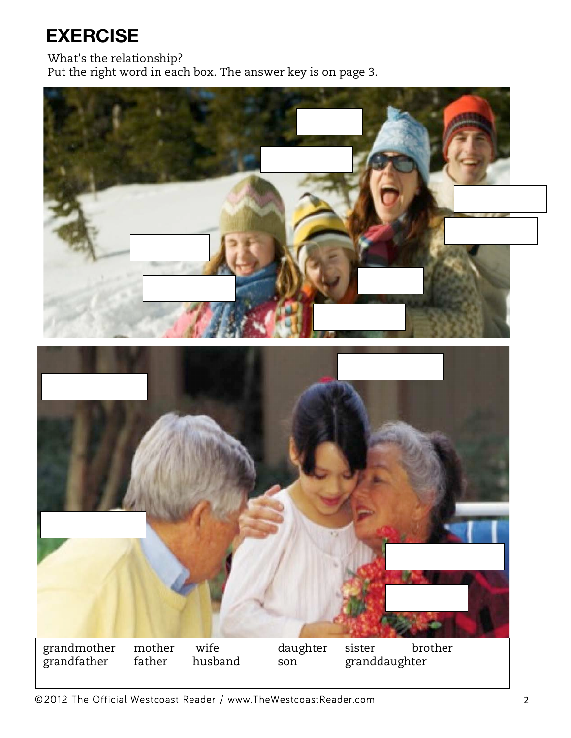## **EXERCISE**

What's the relationship?

Put the right word in each box. The answer key is on page 3.